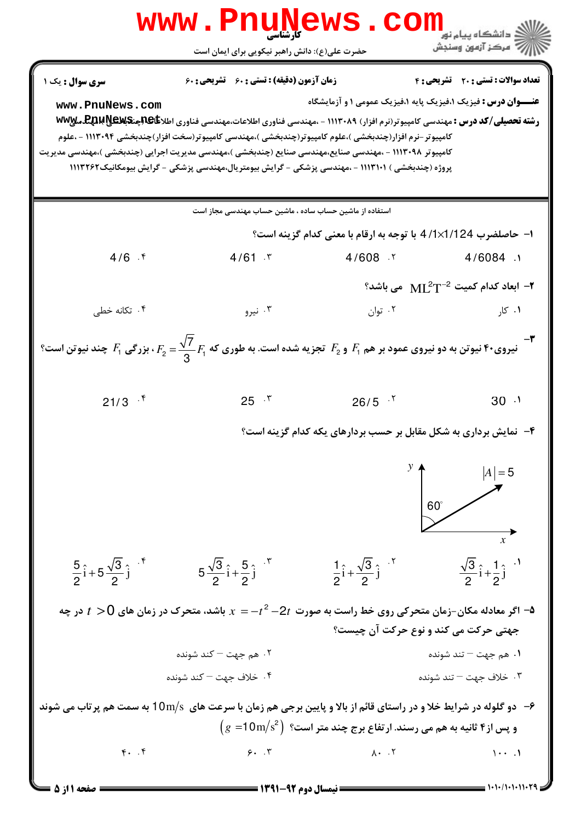

1 . 1 . / 1 . 1 . 1 1 . 1 9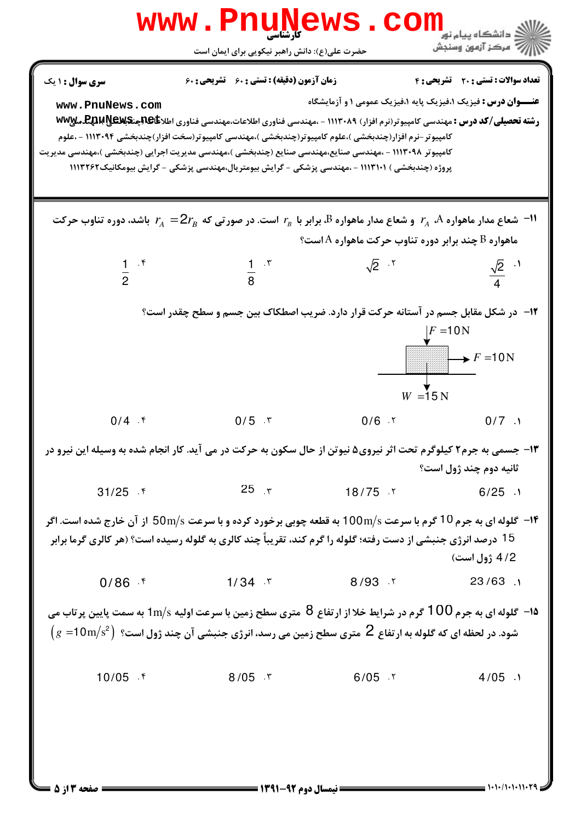| <b>WWW</b>                                                                                                                                                                                                                                                    | . Phun<br>کارشناسی<br>حضرت علی(ع): دانش راهبر نیکویی برای ایمان است                                                                                                                                                                                                                                                                                                                                                                                                                                                            | <b>WP</b>                                                            | <mark>ڪ</mark> دانشڪاه پيام نو <mark>ر</mark><br>أزازاته مركز آزمون وسنجش |
|---------------------------------------------------------------------------------------------------------------------------------------------------------------------------------------------------------------------------------------------------------------|--------------------------------------------------------------------------------------------------------------------------------------------------------------------------------------------------------------------------------------------------------------------------------------------------------------------------------------------------------------------------------------------------------------------------------------------------------------------------------------------------------------------------------|----------------------------------------------------------------------|---------------------------------------------------------------------------|
| <b>سری سوال :</b> ۱ یک<br>www.PnuNews.com                                                                                                                                                                                                                     | <b>زمان آزمون (دقیقه) : تستی : 60 ٪ تشریحی : 60</b><br><b>رشته تحصیلی/کد درس :</b> مهندسی کامپیوتر(نرم افزار) ۱۱۱۳۰۸۹ - ،مهندسی فناوری اطلاعات،مهندسی فناوری اطلا <b>عاگالبینگالله استان میلا</b> میلا<br>کامپیوتر –نرم افزار(چندبخشی )،علوم کامپیوتر(چندبخشی )،مهندسی کامپیوتر(سخت افزار)چندبخشی ۱۱۱۳۰۹۴ – ،علوم<br>کامپیوتر ۱۱۱۳۰۹۸ - ،مهندسی صنایع،مهندسی صنایع (چندبخشی )،مهندسی مدیریت اجرایی (چندبخشی )،مهندسی مدیریت<br>پروژه (چندبخشی ) ۱۱۳۱۰۱ - ،مهندسی پزشکی - گرایش بیومتریال،مهندسی پزشکی - گرایش بیومکانیک۱۱۱۳۲۶۲ | <b>عنـــوان درس :</b> فیزیک ۱،فیزیک پایه ۱،فیزیک عمومی ۱ و آزمایشگاه | <b>تعداد سوالات : تستی : 20 ٪ تشریحی : 4</b>                              |
| ا است. در صور تی که $Z_A$ باشد، دوره تناوب حرکت $r_{_A}$ و شعاع مدار ماهواره $B$ برابر با $r_{_B}$ است. در صور تی که $2r_{_B}$ باشد، دوره تناوب حرکت $\blacksquare$<br>هاهواره B چند برابر دوره تناوب حرکت ماهواره A است؟                                     |                                                                                                                                                                                                                                                                                                                                                                                                                                                                                                                                |                                                                      |                                                                           |
| $\frac{1}{2}$ . f                                                                                                                                                                                                                                             | $rac{1}{8}$ $\cdot$ $\cdot$                                                                                                                                                                                                                                                                                                                                                                                                                                                                                                    | $\sqrt{2}$ . T                                                       | $\frac{\sqrt{2}}{4}$ . <sup>1</sup>                                       |
|                                                                                                                                                                                                                                                               | <b>۱۲</b> -   در شکل مقابل جسم در آستانه حرکت قرار دارد. ضریب اصطکاک بین جسم و سطح چقدر است؟                                                                                                                                                                                                                                                                                                                                                                                                                                   | $W = 15 N$                                                           | $F = 10N$                                                                 |
| $0/4$ . $\frac{1}{2}$                                                                                                                                                                                                                                         | $0/5$ . ۳                                                                                                                                                                                                                                                                                                                                                                                                                                                                                                                      |                                                                      | $0/6$ $\cdot$ $\cdot$ $0/7$ $\cdot$ $\cdot$                               |
|                                                                                                                                                                                                                                                               | ۱۳- جسمی به جرم۲ کیلوگرم تحت اثر نیروی۵ نیوتن از حال سکون به حرکت در می آید. کار انجام شده به وسیله این نیرو در                                                                                                                                                                                                                                                                                                                                                                                                                |                                                                      | ثانيه دوم چند ژول است؟                                                    |
| $31/25$ f                                                                                                                                                                                                                                                     | $25$ r                                                                                                                                                                                                                                                                                                                                                                                                                                                                                                                         | $18/75$ $\cdot$ $6/25$ $\cdot$                                       |                                                                           |
|                                                                                                                                                                                                                                                               | <b>۱۴</b> - گلوله ای به جرم 10 گرم با سرعت 100m/s به قطعه چوبی برخورد کرده و با سرعت 50m/s از آن خارج شده است. اگر<br>15 درصد انرژی جنبشی از دست رفته؛ گلوله را گرم کند، تقریباً چند کالری به گلوله رسیده است؟ (هر کالری گرما برابر                                                                                                                                                                                                                                                                                            |                                                                      | 4/2 ژول است)                                                              |
|                                                                                                                                                                                                                                                               | $0/86$ f 1/34 $\degree$                                                                                                                                                                                                                                                                                                                                                                                                                                                                                                        | $8/93$ $\sqrt{23/63}$ .                                              |                                                                           |
| ه۹– گلوله ای به جرم 100 گرم در شرایط خلا از ارتفاع 8٪ متری سطح زمین با سرعت اولیه $\rm 1m/s$ به سمت پایین پرتاب می<br>$\rm\ (g\ =10m/s^2)$ شود. در لحظه ای که گلوله به ارتفاع $\rm\ Z$ متری سطح زمین می رسد، انرژی جنبشی آن چند ژول است؟ $\rm\ (g\ =10m/s^2)$ |                                                                                                                                                                                                                                                                                                                                                                                                                                                                                                                                |                                                                      |                                                                           |
| $10/05$ f                                                                                                                                                                                                                                                     | $8/05$ T                                                                                                                                                                                                                                                                                                                                                                                                                                                                                                                       | $6/05$ . T                                                           | $4/05$ .                                                                  |

 $1 - 1 - 1 - 1 - 11$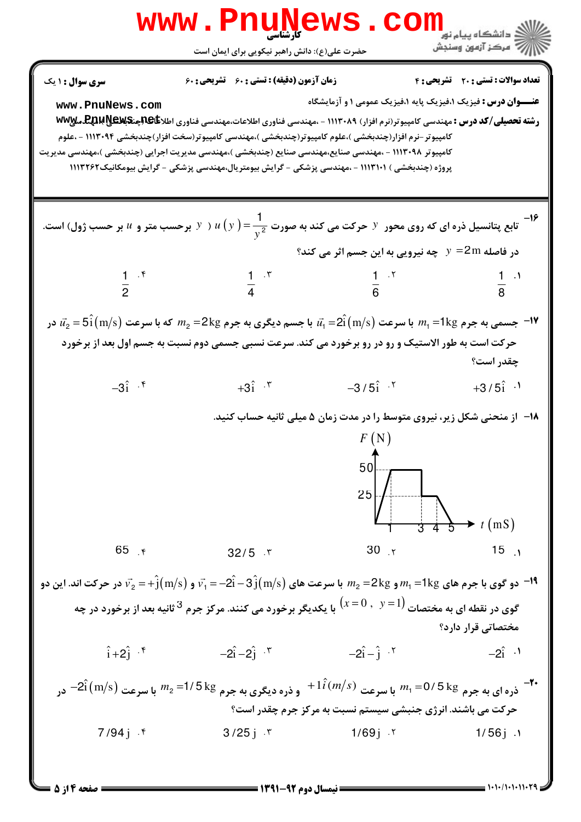

 $= 1.1 - (1.11.11.79$